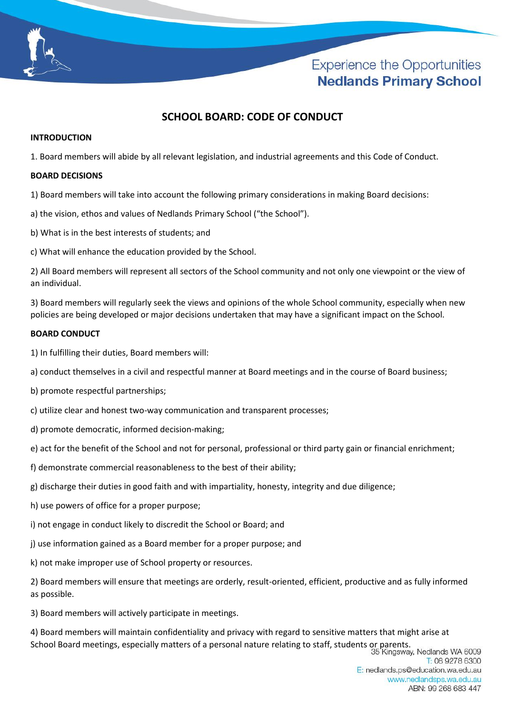

# **Experience the Opportunities Nedlands Primary School**

# **SCHOOL BOARD: CODE OF CONDUCT**

#### **INTRODUCTION**

1. Board members will abide by all relevant legislation, and industrial agreements and this Code of Conduct.

#### **BOARD DECISIONS**

1) Board members will take into account the following primary considerations in making Board decisions:

a) the vision, ethos and values of Nedlands Primary School ("the School").

- b) What is in the best interests of students; and
- c) What will enhance the education provided by the School.

2) All Board members will represent all sectors of the School community and not only one viewpoint or the view of an individual.

3) Board members will regularly seek the views and opinions of the whole School community, especially when new policies are being developed or major decisions undertaken that may have a significant impact on the School.

### **BOARD CONDUCT**

- 1) In fulfilling their duties, Board members will:
- a) conduct themselves in a civil and respectful manner at Board meetings and in the course of Board business;
- b) promote respectful partnerships;
- c) utilize clear and honest two-way communication and transparent processes;
- d) promote democratic, informed decision-making;
- e) act for the benefit of the School and not for personal, professional or third party gain or financial enrichment;
- f) demonstrate commercial reasonableness to the best of their ability;
- g) discharge their duties in good faith and with impartiality, honesty, integrity and due diligence;
- h) use powers of office for a proper purpose;
- i) not engage in conduct likely to discredit the School or Board; and
- j) use information gained as a Board member for a proper purpose; and
- k) not make improper use of School property or resources.

2) Board members will ensure that meetings are orderly, result-oriented, efficient, productive and as fully informed as possible.

3) Board members will actively participate in meetings.

4) Board members will maintain confidentiality and privacy with regard to sensitive matters that might arise at School Board meetings, especially matters of a personal nature relating to staff, students or parents.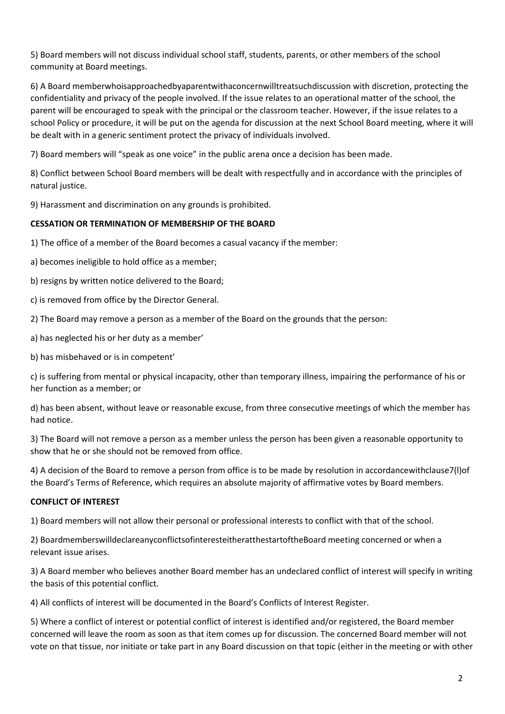5) Board members will not discuss individual school staff, students, parents, or other members of the school community at Board meetings.

6) A Board memberwhoisapproachedbyaparentwithaconcernwilltreatsuchdiscussion with discretion, protecting the confidentiality and privacy of the people involved. If the issue relates to an operational matter of the school, the parent will be encouraged to speak with the principal or the classroom teacher. However, if the issue relates to a school Policy or procedure, it will be put on the agenda for discussion at the next School Board meeting, where it will be dealt with in a generic sentiment protect the privacy of individuals involved.

7) Board members will "speak as one voice" in the public arena once a decision has been made.

8) Conflict between School Board members will be dealt with respectfully and in accordance with the principles of natural justice.

9) Harassment and discrimination on any grounds is prohibited.

# **CESSATION OR TERMINATION OF MEMBERSHIP OF THE BOARD**

1) The office of a member of the Board becomes a casual vacancy if the member:

a) becomes ineligible to hold office as a member;

b) resigns by written notice delivered to the Board;

c) is removed from office by the Director General.

2) The Board may remove a person as a member of the Board on the grounds that the person:

- a) has neglected his or her duty as a member'
- b) has misbehaved or is in competent'

c) is suffering from mental or physical incapacity, other than temporary illness, impairing the performance of his or her function as a member; or

d) has been absent, without leave or reasonable excuse, from three consecutive meetings of which the member has had notice.

3) The Board will not remove a person as a member unless the person has been given a reasonable opportunity to show that he or she should not be removed from office.

4) A decision of the Board to remove a person from office is to be made by resolution in accordancewithclause7(l)of the Board's Terms of Reference, which requires an absolute majority of affirmative votes by Board members.

#### **CONFLICT OF INTEREST**

1) Board members will not allow their personal or professional interests to conflict with that of the school.

2) BoardmemberswilldeclareanyconflictsofinteresteitheratthestartoftheBoard meeting concerned or when a relevant issue arises.

3) A Board member who believes another Board member has an undeclared conflict of interest will specify in writing the basis of this potential conflict.

4) All conflicts of interest will be documented in the Board's Conflicts of Interest Register.

5) Where a conflict of interest or potential conflict of interest is identified and/or registered, the Board member concerned will leave the room as soon as that item comes up for discussion. The concerned Board member will not vote on that tissue, nor initiate or take part in any Board discussion on that topic (either in the meeting or with other